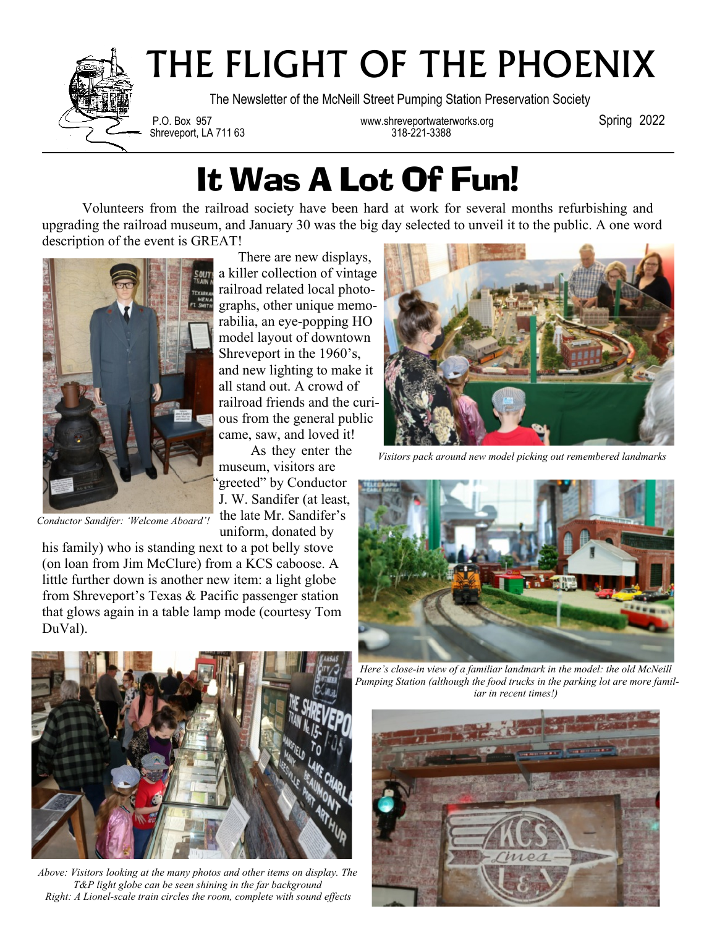

# THE FLIGHT OF THE PHOENIX

The Newsletter of the McNeill Street Pumping Station Preservation Society

Shreveport, LA 711 63

P.O. Box 957 www.shreveportwaterworks.org Spring 2022<br>Shreveport. LA 711 63 318-221-3388

### It Was A Lot Of Fun!

Volunteers from the railroad society have been hard at work for several months refurbishing and upgrading the railroad museum, and January 30 was the big day selected to unveil it to the public. A one word description of the event is GREAT!

As they enter the

museum, visitors are 'greeted" by Conductor J. W. Sandifer (at least, the late Mr. Sandifer's uniform, donated by



*Conductor Sandifer: 'Welcome Aboard'!*

his family) who is standing next to a pot belly stove (on loan from Jim McClure) from a KCS caboose. A little further down is another new item: a light globe from Shreveport's Texas & Pacific passenger station that glows again in a table lamp mode (courtesy Tom DuVal).

There are new displays, a killer collection of vintage railroad related local photographs, other unique memorabilia, an eye-popping HO model layout of downtown Shreveport in the 1960's, and new lighting to make it all stand out. A crowd of railroad friends and the curious from the general public came, saw, and loved it!

*Visitors pack around new model picking out remembered landmarks*





*Above: Visitors looking at the many photos and other items on display. The T&P light globe can be seen shining in the far background Right: A Lionel-scale train circles the room, complete with sound effects*

*Here's close-in view of a familiar landmark in the model: the old McNeill Pumping Station (although the food trucks in the parking lot are more familiar in recent times!)*

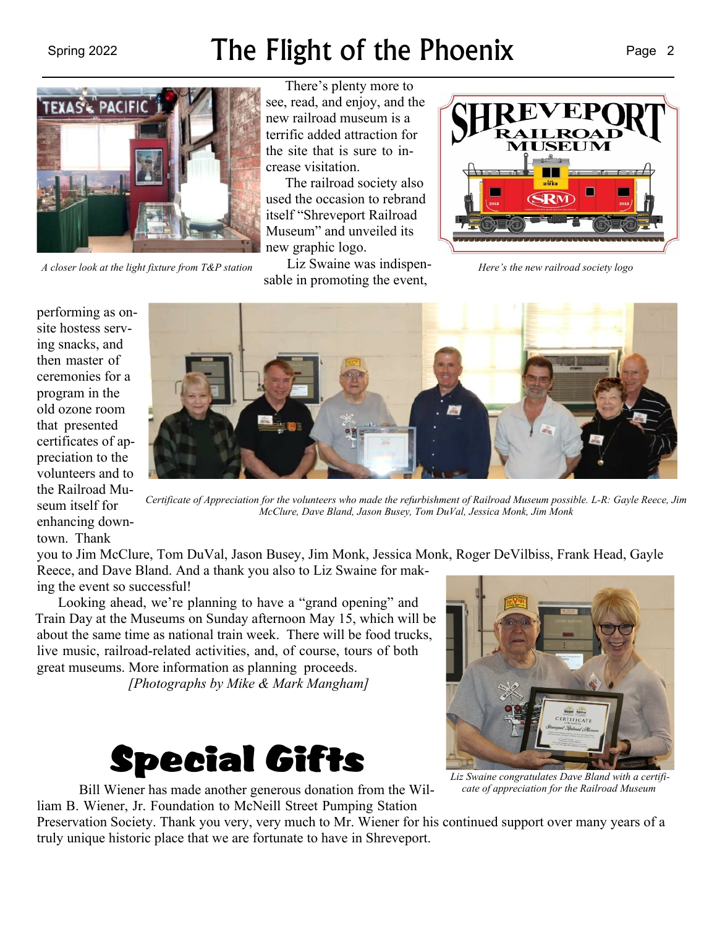#### Spring 2022 **The Flight of the Phoenix** Page 2



*A closer look at the light fixture from T&P station Here's the new railroad society logo*

There's plenty more to see, read, and enjoy, and the new railroad museum is a terrific added attraction for the site that is sure to increase visitation.

The railroad society also used the occasion to rebrand itself "Shreveport Railroad Museum" and unveiled its new graphic logo.

Liz Swaine was indispensable in promoting the event,



performing as onsite hostess serving snacks, and then master of ceremonies for a program in the old ozone room that presented certificates of appreciation to the volunteers and to the Railroad Museum itself for enhancing downtown. Thank



*Certificate of Appreciation for the volunteers who made the refurbishment of Railroad Museum possible. L-R: Gayle Reece, Jim McClure, Dave Bland, Jason Busey, Tom DuVal, Jessica Monk, Jim Monk*

you to Jim McClure, Tom DuVal, Jason Busey, Jim Monk, Jessica Monk, Roger DeVilbiss, Frank Head, Gayle Reece, and Dave Bland. And a thank you also to Liz Swaine for making the event so successful!

Looking ahead, we're planning to have a "grand opening" and Train Day at the Museums on Sunday afternoon May 15, which will be about the same time as national train week. There will be food trucks, live music, railroad-related activities, and, of course, tours of both great museums. More information as planning proceeds.

*[Photographs by Mike & Mark Mangham]*



Bill Wiener has made another generous donation from the William B. Wiener, Jr. Foundation to McNeill Street Pumping Station



*Liz Swaine congratulates Dave Bland with a certificate of appreciation for the Railroad Museum*

Preservation Society. Thank you very, very much to Mr. Wiener for his continued support over many years of a truly unique historic place that we are fortunate to have in Shreveport.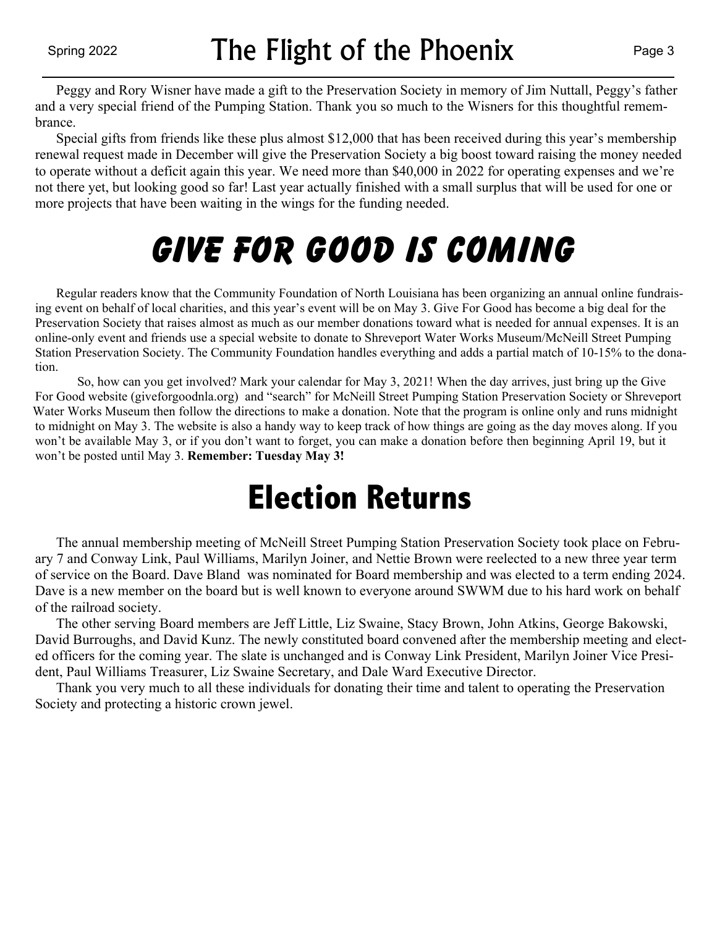Peggy and Rory Wisner have made a gift to the Preservation Society in memory of Jim Nuttall, Peggy's father and a very special friend of the Pumping Station. Thank you so much to the Wisners for this thoughtful remembrance.

 Special gifts from friends like these plus almost \$12,000 that has been received during this year's membership renewal request made in December will give the Preservation Society a big boost toward raising the money needed to operate without a deficit again this year. We need more than \$40,000 in 2022 for operating expenses and we're not there yet, but looking good so far! Last year actually finished with a small surplus that will be used for one or more projects that have been waiting in the wings for the funding needed.

## **Give For Good is coming**

 Regular readers know that the Community Foundation of North Louisiana has been organizing an annual online fundraising event on behalf of local charities, and this year's event will be on May 3. Give For Good has become a big deal for the Preservation Society that raises almost as much as our member donations toward what is needed for annual expenses. It is an online-only event and friends use a special website to donate to Shreveport Water Works Museum/McNeill Street Pumping Station Preservation Society. The Community Foundation handles everything and adds a partial match of 10-15% to the donation.

So, how can you get involved? Mark your calendar for May 3, 2021! When the day arrives, just bring up the Give For Good website (giveforgoodnla.org) and "search" for McNeill Street Pumping Station Preservation Society or Shreveport Water Works Museum then follow the directions to make a donation. Note that the program is online only and runs midnight to midnight on May 3. The website is also a handy way to keep track of how things are going as the day moves along. If you won't be available May 3, or if you don't want to forget, you can make a donation before then beginning April 19, but it won't be posted until May 3. **Remember: Tuesday May 3!**

### **Election Returns**

 The annual membership meeting of McNeill Street Pumping Station Preservation Society took place on February 7 and Conway Link, Paul Williams, Marilyn Joiner, and Nettie Brown were reelected to a new three year term of service on the Board. Dave Bland was nominated for Board membership and was elected to a term ending 2024. Dave is a new member on the board but is well known to everyone around SWWM due to his hard work on behalf of the railroad society.

 The other serving Board members are Jeff Little, Liz Swaine, Stacy Brown, John Atkins, George Bakowski, David Burroughs, and David Kunz. The newly constituted board convened after the membership meeting and elected officers for the coming year. The slate is unchanged and is Conway Link President, Marilyn Joiner Vice President, Paul Williams Treasurer, Liz Swaine Secretary, and Dale Ward Executive Director.

 Thank you very much to all these individuals for donating their time and talent to operating the Preservation Society and protecting a historic crown jewel.